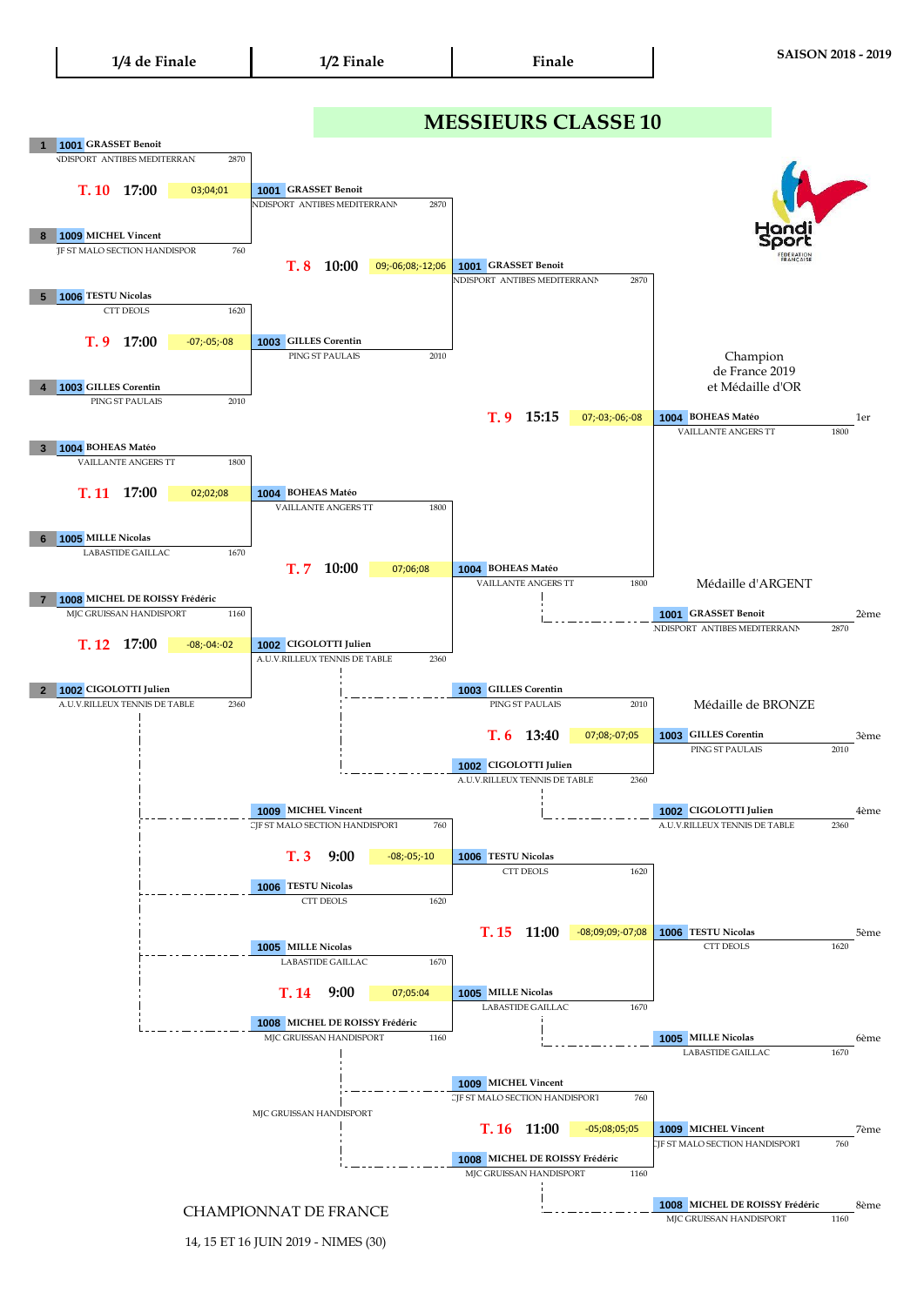## 14, 15 ET 16 JUIN 2019 - NIMES (30)